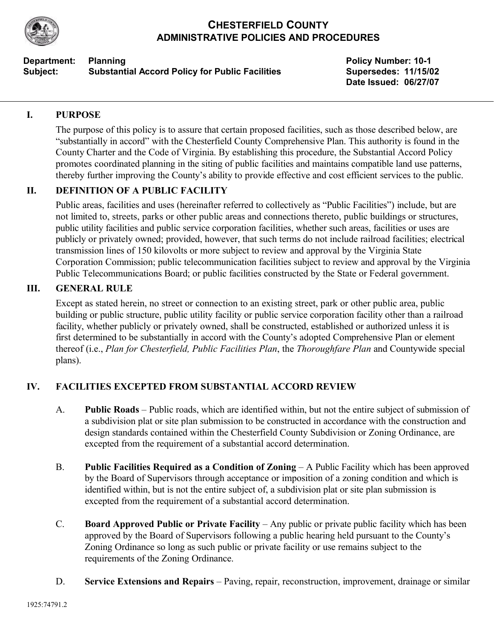

# **CHESTERFIELD COUNTY ADMINISTRATIVE POLICIES AND PROCEDURES**

#### **Department:** Planning **Policy Number: 10-1 Policy Number: 10-1** Subject: Substantial Accord Policy for Public Facilities Supersedes: 11/15/02

**Date Issued: 06/27/07**

## **I. PURPOSE**

The purpose of this policy is to assure that certain proposed facilities, such as those described below, are "substantially in accord" with the Chesterfield County Comprehensive Plan. This authority is found in the County Charter and the Code of Virginia. By establishing this procedure, the Substantial Accord Policy promotes coordinated planning in the siting of public facilities and maintains compatible land use patterns, thereby further improving the County's ability to provide effective and cost efficient services to the public.

# **II. DEFINITION OF A PUBLIC FACILITY**

Public areas, facilities and uses (hereinafter referred to collectively as "Public Facilities") include, but are not limited to, streets, parks or other public areas and connections thereto, public buildings or structures, public utility facilities and public service corporation facilities, whether such areas, facilities or uses are publicly or privately owned; provided, however, that such terms do not include railroad facilities; electrical transmission lines of 150 kilovolts or more subject to review and approval by the Virginia State Corporation Commission; public telecommunication facilities subject to review and approval by the Virginia Public Telecommunications Board; or public facilities constructed by the State or Federal government.

### **III. GENERAL RULE**

Except as stated herein, no street or connection to an existing street, park or other public area, public building or public structure, public utility facility or public service corporation facility other than a railroad facility, whether publicly or privately owned, shall be constructed, established or authorized unless it is first determined to be substantially in accord with the County's adopted Comprehensive Plan or element thereof (i.e., *Plan for Chesterfield, Public Facilities Plan*, the *Thoroughfare Plan* and Countywide special plans).

# **IV. FACILITIES EXCEPTED FROM SUBSTANTIAL ACCORD REVIEW**

- A. **Public Roads**  Public roads, which are identified within, but not the entire subject of submission of a subdivision plat or site plan submission to be constructed in accordance with the construction and design standards contained within the Chesterfield County Subdivision or Zoning Ordinance, are excepted from the requirement of a substantial accord determination.
- B. **Public Facilities Required as a Condition of Zoning A Public Facility which has been approved** by the Board of Supervisors through acceptance or imposition of a zoning condition and which is identified within, but is not the entire subject of, a subdivision plat or site plan submission is excepted from the requirement of a substantial accord determination.
- C. **Board Approved Public or Private Facility**  Any public or private public facility which has been approved by the Board of Supervisors following a public hearing held pursuant to the County's Zoning Ordinance so long as such public or private facility or use remains subject to the requirements of the Zoning Ordinance.
- D. **Service Extensions and Repairs**  Paving, repair, reconstruction, improvement, drainage or similar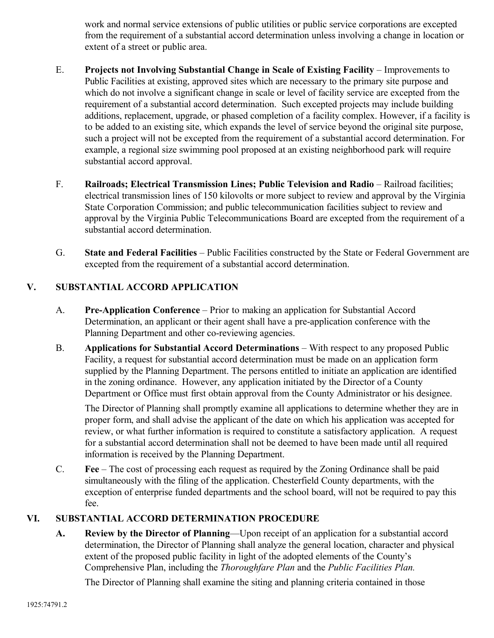work and normal service extensions of public utilities or public service corporations are excepted from the requirement of a substantial accord determination unless involving a change in location or extent of a street or public area.

- E. **Projects not Involving Substantial Change in Scale of Existing Facility**  Improvements to Public Facilities at existing, approved sites which are necessary to the primary site purpose and which do not involve a significant change in scale or level of facility service are excepted from the requirement of a substantial accord determination. Such excepted projects may include building additions, replacement, upgrade, or phased completion of a facility complex. However, if a facility is to be added to an existing site, which expands the level of service beyond the original site purpose, such a project will not be excepted from the requirement of a substantial accord determination. For example, a regional size swimming pool proposed at an existing neighborhood park will require substantial accord approval.
- F. **Railroads; Electrical Transmission Lines; Public Television and Radio**  Railroad facilities; electrical transmission lines of 150 kilovolts or more subject to review and approval by the Virginia State Corporation Commission; and public telecommunication facilities subject to review and approval by the Virginia Public Telecommunications Board are excepted from the requirement of a substantial accord determination.
- G. **State and Federal Facilities**  Public Facilities constructed by the State or Federal Government are excepted from the requirement of a substantial accord determination.

# **V. SUBSTANTIAL ACCORD APPLICATION**

- A. **Pre-Application Conference**  Prior to making an application for Substantial Accord Determination, an applicant or their agent shall have a pre-application conference with the Planning Department and other co-reviewing agencies.
- B. **Applications for Substantial Accord Determinations**  With respect to any proposed Public Facility, a request for substantial accord determination must be made on an application form supplied by the Planning Department. The persons entitled to initiate an application are identified in the zoning ordinance. However, any application initiated by the Director of a County Department or Office must first obtain approval from the County Administrator or his designee.

The Director of Planning shall promptly examine all applications to determine whether they are in proper form, and shall advise the applicant of the date on which his application was accepted for review, or what further information is required to constitute a satisfactory application. A request for a substantial accord determination shall not be deemed to have been made until all required information is received by the Planning Department.

C. **Fee** – The cost of processing each request as required by the Zoning Ordinance shall be paid simultaneously with the filing of the application. Chesterfield County departments, with the exception of enterprise funded departments and the school board, will not be required to pay this fee.

# **VI. SUBSTANTIAL ACCORD DETERMINATION PROCEDURE**

**A. Review by the Director of Planning**—Upon receipt of an application for a substantial accord determination, the Director of Planning shall analyze the general location, character and physical extent of the proposed public facility in light of the adopted elements of the County's Comprehensive Plan, including the *Thoroughfare Plan* and the *Public Facilities Plan.* 

The Director of Planning shall examine the siting and planning criteria contained in those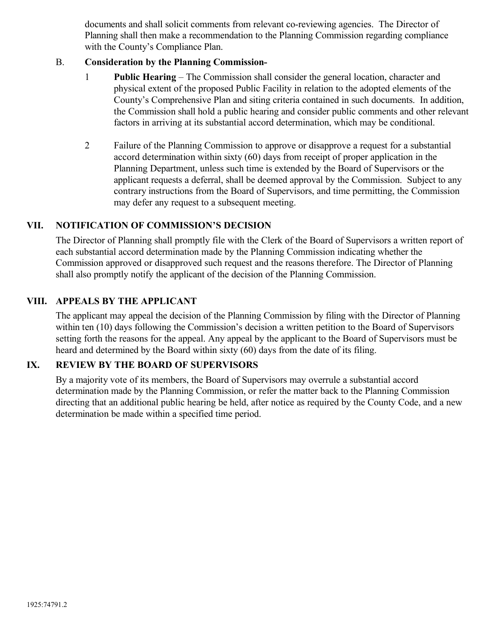documents and shall solicit comments from relevant co-reviewing agencies. The Director of Planning shall then make a recommendation to the Planning Commission regarding compliance with the County's Compliance Plan.

### B. **Consideration by the Planning Commission**

- 1 **Public Hearing** The Commission shall consider the general location, character and physical extent of the proposed Public Facility in relation to the adopted elements of the County's Comprehensive Plan and siting criteria contained in such documents. In addition, the Commission shall hold a public hearing and consider public comments and other relevant factors in arriving at its substantial accord determination, which may be conditional.
- 2 Failure of the Planning Commission to approve or disapprove a request for a substantial accord determination within sixty (60) days from receipt of proper application in the Planning Department, unless such time is extended by the Board of Supervisors or the applicant requests a deferral, shall be deemed approval by the Commission. Subject to any contrary instructions from the Board of Supervisors, and time permitting, the Commission may defer any request to a subsequent meeting.

### **VII. NOTIFICATION OF COMMISSION'S DECISION**

The Director of Planning shall promptly file with the Clerk of the Board of Supervisors a written report of each substantial accord determination made by the Planning Commission indicating whether the Commission approved or disapproved such request and the reasons therefore. The Director of Planning shall also promptly notify the applicant of the decision of the Planning Commission.

#### **VIII. APPEALS BY THE APPLICANT**

The applicant may appeal the decision of the Planning Commission by filing with the Director of Planning within ten (10) days following the Commission's decision a written petition to the Board of Supervisors setting forth the reasons for the appeal. Any appeal by the applicant to the Board of Supervisors must be heard and determined by the Board within sixty (60) days from the date of its filing.

### **IX. REVIEW BY THE BOARD OF SUPERVISORS**

By a majority vote of its members, the Board of Supervisors may overrule a substantial accord determination made by the Planning Commission, or refer the matter back to the Planning Commission directing that an additional public hearing be held, after notice as required by the County Code, and a new determination be made within a specified time period.